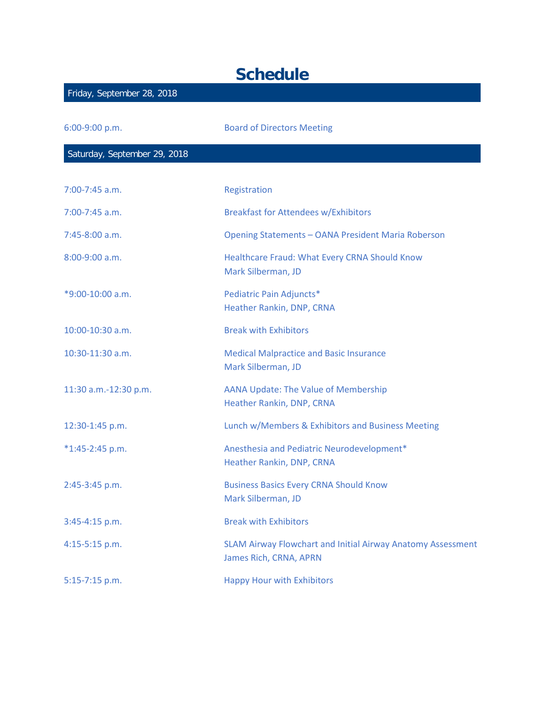## **Schedule**

| Friday, September 28, 2018   |                                                                                       |
|------------------------------|---------------------------------------------------------------------------------------|
| 6:00-9:00 p.m.               | <b>Board of Directors Meeting</b>                                                     |
| Saturday, September 29, 2018 |                                                                                       |
| $7:00-7:45$ a.m.             | Registration                                                                          |
| 7:00-7:45 a.m.               | <b>Breakfast for Attendees w/Exhibitors</b>                                           |
| 7:45-8:00 a.m.               | Opening Statements - OANA President Maria Roberson                                    |
| 8:00-9:00 a.m.               | Healthcare Fraud: What Every CRNA Should Know<br>Mark Silberman, JD                   |
| *9:00-10:00 a.m.             | Pediatric Pain Adjuncts*<br>Heather Rankin, DNP, CRNA                                 |
| $10:00 - 10:30$ a.m.         | <b>Break with Exhibitors</b>                                                          |
| 10:30-11:30 a.m.             | <b>Medical Malpractice and Basic Insurance</b><br>Mark Silberman, JD                  |
| 11:30 a.m.-12:30 p.m.        | <b>AANA Update: The Value of Membership</b><br>Heather Rankin, DNP, CRNA              |
| 12:30-1:45 p.m.              | Lunch w/Members & Exhibitors and Business Meeting                                     |
| $*1:45-2:45 p.m.$            | Anesthesia and Pediatric Neurodevelopment*<br>Heather Rankin, DNP, CRNA               |
| 2:45-3:45 p.m.               | <b>Business Basics Every CRNA Should Know</b><br>Mark Silberman, JD                   |
| 3:45-4:15 p.m.               | <b>Break with Exhibitors</b>                                                          |
| 4:15-5:15 p.m.               | SLAM Airway Flowchart and Initial Airway Anatomy Assessment<br>James Rich, CRNA, APRN |
| 5:15-7:15 p.m.               | <b>Happy Hour with Exhibitors</b>                                                     |